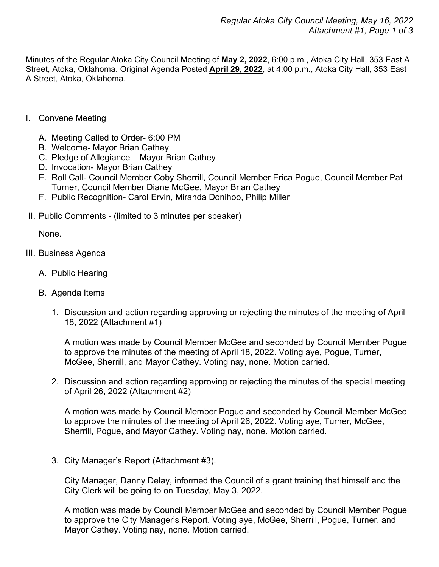Minutes of the Regular Atoka City Council Meeting of **May 2, 2022**, 6:00 p.m., Atoka City Hall, 353 East A Street, Atoka, Oklahoma. Original Agenda Posted **April 29, 2022**, at 4:00 p.m., Atoka City Hall, 353 East A Street, Atoka, Oklahoma.

- I. Convene Meeting
	- A. Meeting Called to Order- 6:00 PM
	- B. Welcome- Mayor Brian Cathey
	- C. Pledge of Allegiance Mayor Brian Cathey
	- D. Invocation- Mayor Brian Cathey
	- E. Roll Call- Council Member Coby Sherrill, Council Member Erica Pogue, Council Member Pat Turner, Council Member Diane McGee, Mayor Brian Cathey
	- F. Public Recognition- Carol Ervin, Miranda Donihoo, Philip Miller
- II. Public Comments (limited to 3 minutes per speaker)

None.

- III. Business Agenda
	- A. Public Hearing
	- B. Agenda Items
		- 1. Discussion and action regarding approving or rejecting the minutes of the meeting of April 18, 2022 (Attachment #1)

A motion was made by Council Member McGee and seconded by Council Member Pogue to approve the minutes of the meeting of April 18, 2022. Voting aye, Pogue, Turner, McGee, Sherrill, and Mayor Cathey. Voting nay, none. Motion carried.

2. Discussion and action regarding approving or rejecting the minutes of the special meeting of April 26, 2022 (Attachment #2)

A motion was made by Council Member Pogue and seconded by Council Member McGee to approve the minutes of the meeting of April 26, 2022. Voting aye, Turner, McGee, Sherrill, Pogue, and Mayor Cathey. Voting nay, none. Motion carried.

3. City Manager's Report (Attachment #3).

City Manager, Danny Delay, informed the Council of a grant training that himself and the City Clerk will be going to on Tuesday, May 3, 2022.

A motion was made by Council Member McGee and seconded by Council Member Pogue to approve the City Manager's Report. Voting aye, McGee, Sherrill, Pogue, Turner, and Mayor Cathey. Voting nay, none. Motion carried.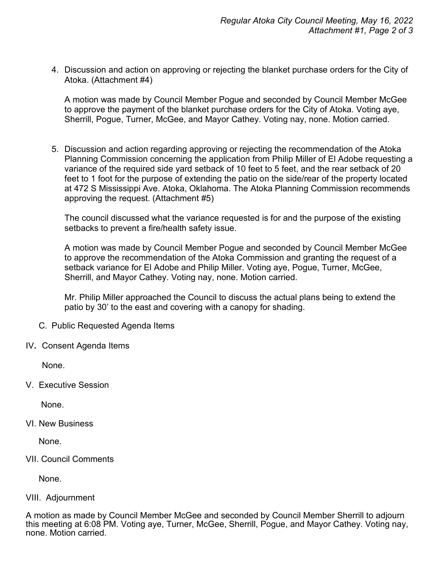4. Discussion and action on approving or rejecting the blanket purchase orders for the City of Atoka. (Attachment #4)

A motion was made by Council Member Pogue and seconded by Council Member McGee to approve the payment of the blanket purchase orders for the City of Atoka. Voting aye, Sherrill, Pogue, Turner, McGee, and Mayor Cathey. Voting nay, none. Motion carried.

5. Discussion and action regarding approving or rejecting the recommendation of the Atoka Planning Commission concerning the application from Philip Miller of El Adobe requesting a variance of the required side yard setback of 10 feet to 5 feet, and the rear setback of 20 feet to 1 foot for the purpose of extending the patio on the side/rear of the property located at 472 S Mississippi Ave. Atoka, Oklahoma. The Atoka Planning Commission recommends approving the request. (Attachment #5)

The council discussed what the variance requested is for and the purpose of the existing setbacks to prevent a fire/health safety issue.

A motion was made by Council Member Pogue and seconded by Council Member McGee to approve the recommendation of the Atoka Commission and granting the request of a setback variance for El Adobe and Philip Miller. Voting aye, Pogue, Turner, McGee, Sherrill, and Mayor Cathey. Voting nay, none. Motion carried.

Mr. Philip Miller approached the Council to discuss the actual plans being to extend the patio by 30' to the east and covering with a canopy for shading.

- C. Public Requested Agenda Items
- IV**.** Consent Agenda Items

None.

V. Executive Session

None.

VI. New Business

None.

VII. Council Comments

None.

## VIII. Adjournment

A motion as made by Council Member McGee and seconded by Council Member Sherrill to adjourn this meeting at 6:08 PM. Voting aye, Turner, McGee, Sherrill, Pogue, and Mayor Cathey. Voting nay, none. Motion carried.